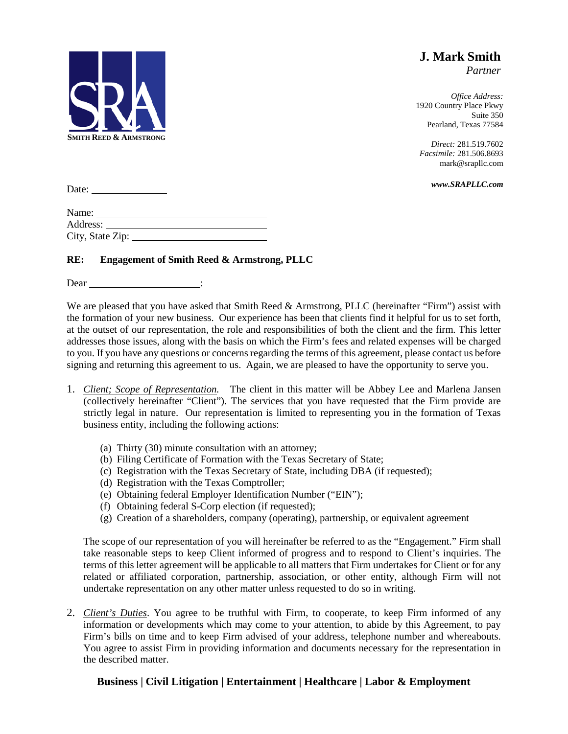

**J. Mark Smith** *Partner*

*Office Address:* 1920 Country Place Pkwy Suite 350 Pearland, Texas 77584

*Direct:* 281.519.7602 *Facsimile:* 281.506.8693 mark@srapllc.com

*www.SRAPLLC.com*

Date:

| Name:            |  |
|------------------|--|
| Address:         |  |
| City, State Zip: |  |

## **RE: Engagement of Smith Reed & Armstrong, PLLC**

Dear in the Dear

We are pleased that you have asked that Smith Reed & Armstrong, PLLC (hereinafter "Firm") assist with the formation of your new business. Our experience has been that clients find it helpful for us to set forth, at the outset of our representation, the role and responsibilities of both the client and the firm. This letter addresses those issues, along with the basis on which the Firm's fees and related expenses will be charged to you. If you have any questions or concerns regarding the terms of this agreement, please contact us before signing and returning this agreement to us. Again, we are pleased to have the opportunity to serve you.

- 1. *Client; Scope of Representation.* The client in this matter will be Abbey Lee and Marlena Jansen (collectively hereinafter "Client"). The services that you have requested that the Firm provide are strictly legal in nature. Our representation is limited to representing you in the formation of Texas business entity, including the following actions:
	- (a) Thirty (30) minute consultation with an attorney;
	- (b) Filing Certificate of Formation with the Texas Secretary of State;
	- (c) Registration with the Texas Secretary of State, including DBA (if requested);
	- (d) Registration with the Texas Comptroller;
	- (e) Obtaining federal Employer Identification Number ("EIN");
	- (f) Obtaining federal S-Corp election (if requested);
	- (g) Creation of a shareholders, company (operating), partnership, or equivalent agreement

The scope of our representation of you will hereinafter be referred to as the "Engagement." Firm shall take reasonable steps to keep Client informed of progress and to respond to Client's inquiries. The terms of this letter agreement will be applicable to all matters that Firm undertakes for Client or for any related or affiliated corporation, partnership, association, or other entity, although Firm will not undertake representation on any other matter unless requested to do so in writing.

2. *Client's Duties*. You agree to be truthful with Firm, to cooperate, to keep Firm informed of any information or developments which may come to your attention, to abide by this Agreement, to pay Firm's bills on time and to keep Firm advised of your address, telephone number and whereabouts. You agree to assist Firm in providing information and documents necessary for the representation in the described matter.

## **Business | Civil Litigation | Entertainment | Healthcare | Labor & Employment**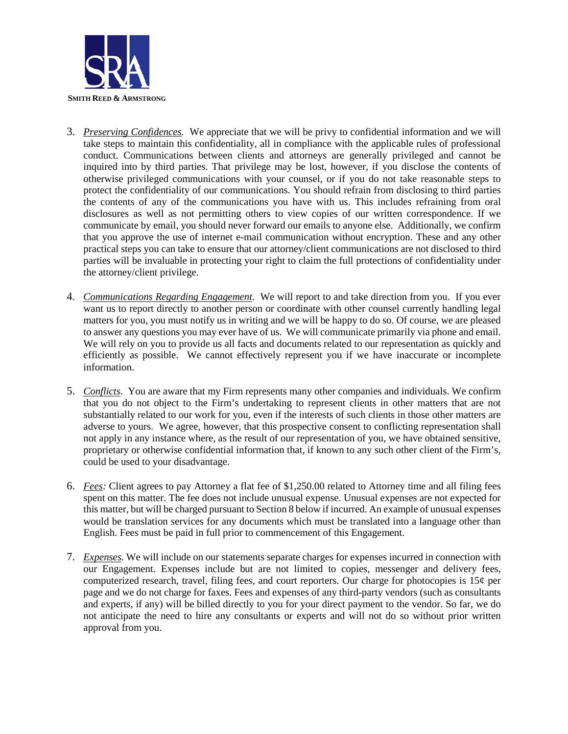

- 3. *Preserving Confidences.* We appreciate that we will be privy to confidential information and we will take steps to maintain this confidentiality, all in compliance with the applicable rules of professional conduct. Communications between clients and attorneys are generally privileged and cannot be inquired into by third parties. That privilege may be lost, however, if you disclose the contents of otherwise privileged communications with your counsel, or if you do not take reasonable steps to protect the confidentiality of our communications. You should refrain from disclosing to third parties the contents of any of the communications you have with us. This includes refraining from oral disclosures as well as not permitting others to view copies of our written correspondence. If we communicate by email, you should never forward our emails to anyone else. Additionally, we confirm that you approve the use of internet e-mail communication without encryption. These and any other practical steps you can take to ensure that our attorney/client communications are not disclosed to third parties will be invaluable in protecting your right to claim the full protections of confidentiality under the attorney/client privilege.
- 4. *Communications Regarding Engagement*. We will report to and take direction from you. If you ever want us to report directly to another person or coordinate with other counsel currently handling legal matters for you, you must notify us in writing and we will be happy to do so. Of course, we are pleased to answer any questions you may ever have of us. We will communicate primarily via phone and email. We will rely on you to provide us all facts and documents related to our representation as quickly and efficiently as possible. We cannot effectively represent you if we have inaccurate or incomplete information.
- 5. *Conflicts*. You are aware that my Firm represents many other companies and individuals. We confirm that you do not object to the Firm's undertaking to represent clients in other matters that are not substantially related to our work for you, even if the interests of such clients in those other matters are adverse to yours. We agree, however, that this prospective consent to conflicting representation shall not apply in any instance where, as the result of our representation of you, we have obtained sensitive, proprietary or otherwise confidential information that, if known to any such other client of the Firm's, could be used to your disadvantage.
- 6. *Fees:* Client agrees to pay Attorney a flat fee of \$1,250.00 related to Attorney time and all filing fees spent on this matter. The fee does not include unusual expense. Unusual expenses are not expected for this matter, but will be charged pursuant to Section 8 below if incurred. An example of unusual expenses would be translation services for any documents which must be translated into a language other than English. Fees must be paid in full prior to commencement of this Engagement.
- 7. *Expenses.* We will include on our statements separate charges for expenses incurred in connection with our Engagement. Expenses include but are not limited to copies, messenger and delivery fees, computerized research, travel, filing fees, and court reporters. Our charge for photocopies is  $15¢$  per page and we do not charge for faxes. Fees and expenses of any third-party vendors (such as consultants and experts, if any) will be billed directly to you for your direct payment to the vendor. So far, we do not anticipate the need to hire any consultants or experts and will not do so without prior written approval from you.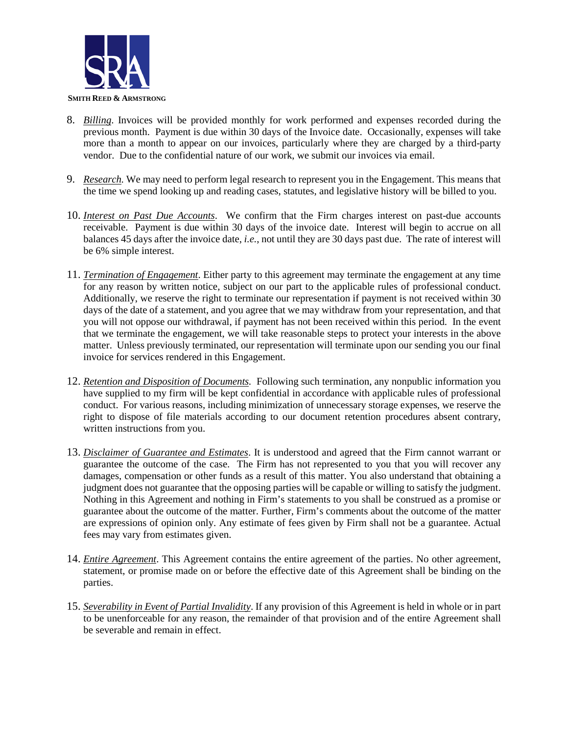

- 8. *Billing*. Invoices will be provided monthly for work performed and expenses recorded during the previous month. Payment is due within 30 days of the Invoice date. Occasionally, expenses will take more than a month to appear on our invoices, particularly where they are charged by a third-party vendor. Due to the confidential nature of our work, we submit our invoices via email.
- 9. *Research.* We may need to perform legal research to represent you in the Engagement. This means that the time we spend looking up and reading cases, statutes, and legislative history will be billed to you.
- 10. *Interest on Past Due Accounts*. We confirm that the Firm charges interest on past-due accounts receivable. Payment is due within 30 days of the invoice date. Interest will begin to accrue on all balances 45 days after the invoice date, *i.e.*, not until they are 30 days past due. The rate of interest will be 6% simple interest.
- 11. *Termination of Engagement*. Either party to this agreement may terminate the engagement at any time for any reason by written notice, subject on our part to the applicable rules of professional conduct. Additionally, we reserve the right to terminate our representation if payment is not received within 30 days of the date of a statement, and you agree that we may withdraw from your representation, and that you will not oppose our withdrawal, if payment has not been received within this period. In the event that we terminate the engagement, we will take reasonable steps to protect your interests in the above matter. Unless previously terminated, our representation will terminate upon our sending you our final invoice for services rendered in this Engagement.
- 12. *Retention and Disposition of Documents.* Following such termination, any nonpublic information you have supplied to my firm will be kept confidential in accordance with applicable rules of professional conduct. For various reasons, including minimization of unnecessary storage expenses, we reserve the right to dispose of file materials according to our document retention procedures absent contrary, written instructions from you.
- 13. *Disclaimer of Guarantee and Estimates*. It is understood and agreed that the Firm cannot warrant or guarantee the outcome of the case. The Firm has not represented to you that you will recover any damages, compensation or other funds as a result of this matter. You also understand that obtaining a judgment does not guarantee that the opposing parties will be capable or willing to satisfy the judgment. Nothing in this Agreement and nothing in Firm's statements to you shall be construed as a promise or guarantee about the outcome of the matter. Further, Firm's comments about the outcome of the matter are expressions of opinion only. Any estimate of fees given by Firm shall not be a guarantee. Actual fees may vary from estimates given.
- 14. *Entire Agreement*. This Agreement contains the entire agreement of the parties. No other agreement, statement, or promise made on or before the effective date of this Agreement shall be binding on the parties.
- 15. *Severability in Event of Partial Invalidity*. If any provision of this Agreement is held in whole or in part to be unenforceable for any reason, the remainder of that provision and of the entire Agreement shall be severable and remain in effect.